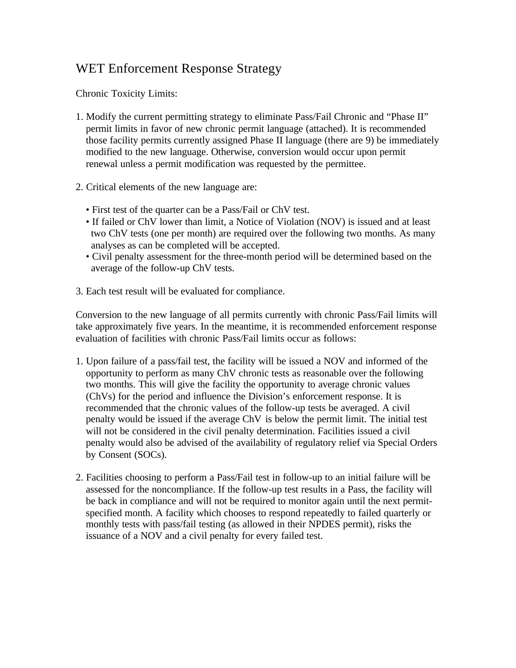## WET Enforcement Response Strategy

Chronic Toxicity Limits:

- 1. Modify the current permitting strategy to eliminate Pass/Fail Chronic and "Phase II" permit limits in favor of new chronic permit language (attached). It is recommended those facility permits currently assigned Phase II language (there are 9) be immediately modified to the new language. Otherwise, conversion would occur upon permit renewal unless a permit modification was requested by the permittee.
- 2. Critical elements of the new language are:
	- First test of the quarter can be a Pass/Fail or ChV test.
	- If failed or ChV lower than limit, a Notice of Violation (NOV) is issued and at least two ChV tests (one per month) are required over the following two months. As many analyses as can be completed will be accepted.
	- Civil penalty assessment for the three-month period will be determined based on the average of the follow-up ChV tests.
- 3. Each test result will be evaluated for compliance.

Conversion to the new language of all permits currently with chronic Pass/Fail limits will take approximately five years. In the meantime, it is recommended enforcement response evaluation of facilities with chronic Pass/Fail limits occur as follows:

- 1. Upon failure of a pass/fail test, the facility will be issued a NOV and informed of the opportunity to perform as many ChV chronic tests as reasonable over the following two months. This will give the facility the opportunity to average chronic values (ChVs) for the period and influence the Division's enforcement response. It is recommended that the chronic values of the follow-up tests be averaged. A civil penalty would be issued if the average ChV is below the permit limit. The initial test will not be considered in the civil penalty determination. Facilities issued a civil penalty would also be advised of the availability of regulatory relief via Special Orders by Consent (SOCs).
- 2. Facilities choosing to perform a Pass/Fail test in follow-up to an initial failure will be assessed for the noncompliance. If the follow-up test results in a Pass, the facility will be back in compliance and will not be required to monitor again until the next permitspecified month. A facility which chooses to respond repeatedly to failed quarterly or monthly tests with pass/fail testing (as allowed in their NPDES permit), risks the issuance of a NOV and a civil penalty for every failed test.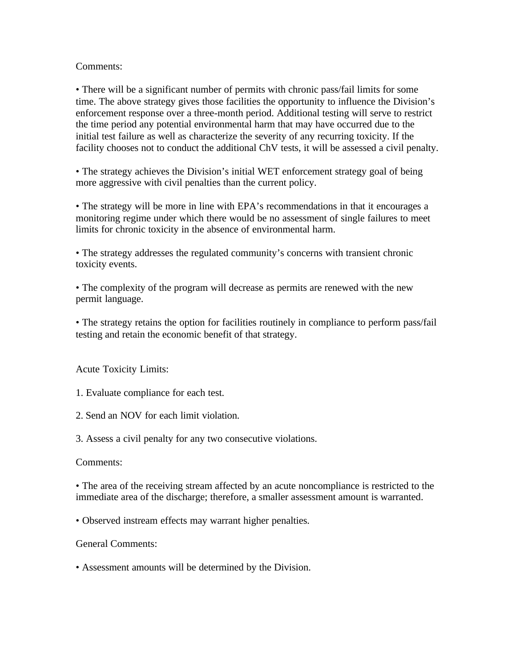## Comments:

• There will be a significant number of permits with chronic pass/fail limits for some time. The above strategy gives those facilities the opportunity to influence the Division's enforcement response over a three-month period. Additional testing will serve to restrict the time period any potential environmental harm that may have occurred due to the initial test failure as well as characterize the severity of any recurring toxicity. If the facility chooses not to conduct the additional ChV tests, it will be assessed a civil penalty.

• The strategy achieves the Division's initial WET enforcement strategy goal of being more aggressive with civil penalties than the current policy.

• The strategy will be more in line with EPA's recommendations in that it encourages a monitoring regime under which there would be no assessment of single failures to meet limits for chronic toxicity in the absence of environmental harm.

• The strategy addresses the regulated community's concerns with transient chronic toxicity events.

• The complexity of the program will decrease as permits are renewed with the new permit language.

• The strategy retains the option for facilities routinely in compliance to perform pass/fail testing and retain the economic benefit of that strategy.

Acute Toxicity Limits:

1. Evaluate compliance for each test.

2. Send an NOV for each limit violation.

3. Assess a civil penalty for any two consecutive violations.

## Comments:

• The area of the receiving stream affected by an acute noncompliance is restricted to the immediate area of the discharge; therefore, a smaller assessment amount is warranted.

• Observed instream effects may warrant higher penalties.

General Comments:

• Assessment amounts will be determined by the Division.